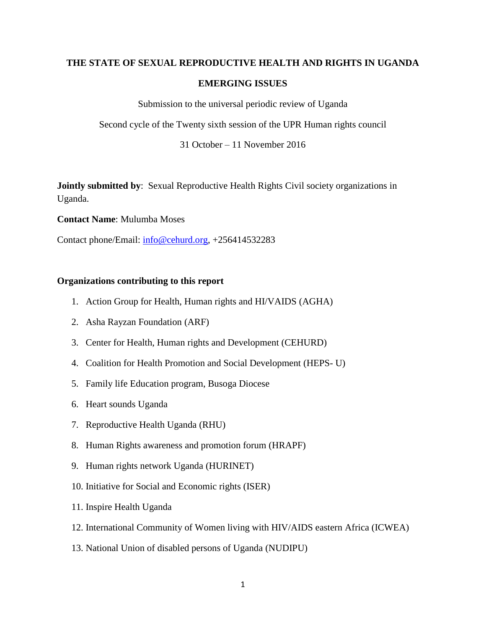# **THE STATE OF SEXUAL REPRODUCTIVE HEALTH AND RIGHTS IN UGANDA EMERGING ISSUES**

Submission to the universal periodic review of Uganda

Second cycle of the Twenty sixth session of the UPR Human rights council

31 October – 11 November 2016

**Jointly submitted by**: Sexual Reproductive Health Rights Civil society organizations in Uganda.

**Contact Name**: Mulumba Moses

Contact phone/Email: [info@cehurd.org,](mailto:info@cehurd.org) +256414532283

#### **Organizations contributing to this report**

- 1. Action Group for Health, Human rights and HI/VAIDS (AGHA)
- 2. Asha Rayzan Foundation (ARF)
- 3. Center for Health, Human rights and Development (CEHURD)
- 4. Coalition for Health Promotion and Social Development (HEPS- U)
- 5. Family life Education program, Busoga Diocese
- 6. Heart sounds Uganda
- 7. Reproductive Health Uganda (RHU)
- 8. Human Rights awareness and promotion forum (HRAPF)
- 9. Human rights network Uganda (HURINET)
- 10. Initiative for Social and Economic rights (ISER)
- 11. Inspire Health Uganda
- 12. International Community of Women living with HIV/AIDS eastern Africa (ICWEA)
- 13. National Union of disabled persons of Uganda (NUDIPU)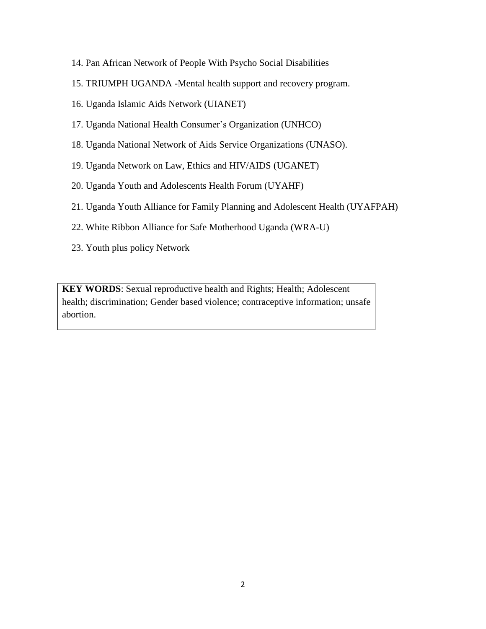- 14. Pan African Network of People With Psycho Social Disabilities
- 15. TRIUMPH UGANDA -Mental health support and recovery program.
- 16. Uganda Islamic Aids Network (UIANET)
- 17. Uganda National Health Consumer's Organization (UNHCO)
- 18. Uganda National Network of Aids Service Organizations (UNASO).
- 19. Uganda Network on Law, Ethics and HIV/AIDS (UGANET)
- 20. Uganda Youth and Adolescents Health Forum (UYAHF)
- 21. Uganda Youth Alliance for Family Planning and Adolescent Health (UYAFPAH)
- 22. White Ribbon Alliance for Safe Motherhood Uganda (WRA-U)
- 23. Youth plus policy Network

**KEY WORDS**: Sexual reproductive health and Rights; Health; Adolescent health; discrimination; Gender based violence; contraceptive information; unsafe abortion.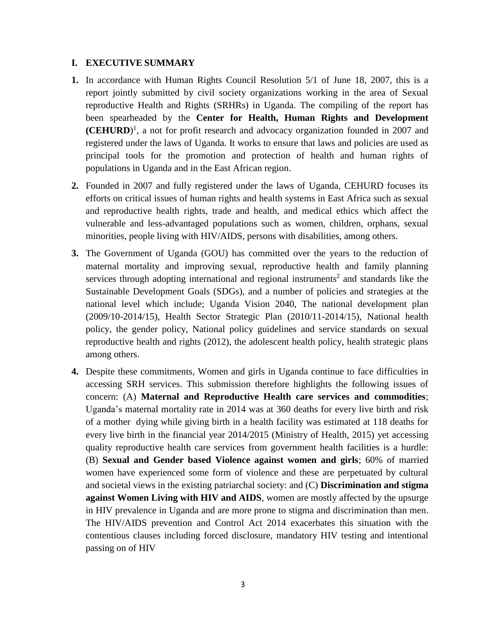#### **I. EXECUTIVE SUMMARY**

- **1.** In accordance with Human Rights Council Resolution 5/1 of June 18, 2007, this is a report jointly submitted by civil society organizations working in the area of Sexual reproductive Health and Rights (SRHRs) in Uganda. The compiling of the report has been spearheaded by the **Center for Health, Human Rights and Development (CEHURD**) 1 , a not for profit research and advocacy organization founded in 2007 and registered under the laws of Uganda. It works to ensure that laws and policies are used as principal tools for the promotion and protection of health and human rights of populations in Uganda and in the East African region.
- **2.** Founded in 2007 and fully registered under the laws of Uganda, CEHURD focuses its efforts on critical issues of human rights and health systems in East Africa such as sexual and reproductive health rights, trade and health, and medical ethics which affect the vulnerable and less-advantaged populations such as women, children, orphans, sexual minorities, people living with HIV/AIDS, persons with disabilities, among others.
- **3.** The Government of Uganda (GOU) has committed over the years to the reduction of maternal mortality and improving sexual, reproductive health and family planning services through adopting international and regional instruments<sup>2</sup> and standards like the Sustainable Development Goals (SDGs), and a number of policies and strategies at the national level which include; Uganda Vision 2040, The national development plan (2009/10-2014/15), Health Sector Strategic Plan (2010/11-2014/15), National health policy, the gender policy, National policy guidelines and service standards on sexual reproductive health and rights (2012), the adolescent health policy, health strategic plans among others.
- **4.** Despite these commitments, Women and girls in Uganda continue to face difficulties in accessing SRH services. This submission therefore highlights the following issues of concern: (A) **Maternal and Reproductive Health care services and commodities**; Uganda's maternal mortality rate in 2014 was at 360 deaths for every live birth and risk of a mother dying while giving birth in a health facility was estimated at 118 deaths for every live birth in the financial year 2014/2015 (Ministry of Health, 2015) yet accessing quality reproductive health care services from government health facilities is a hurdle: (B) **Sexual and Gender based Violence against women and girls**; 60% of married women have experienced some form of violence and these are perpetuated by cultural and societal views in the existing patriarchal society: and (C) **Discrimination and stigma against Women Living with HIV and AIDS**, women are mostly affected by the upsurge in HIV prevalence in Uganda and are more prone to stigma and discrimination than men. The HIV/AIDS prevention and Control Act 2014 exacerbates this situation with the contentious clauses including forced disclosure, mandatory HIV testing and intentional passing on of HIV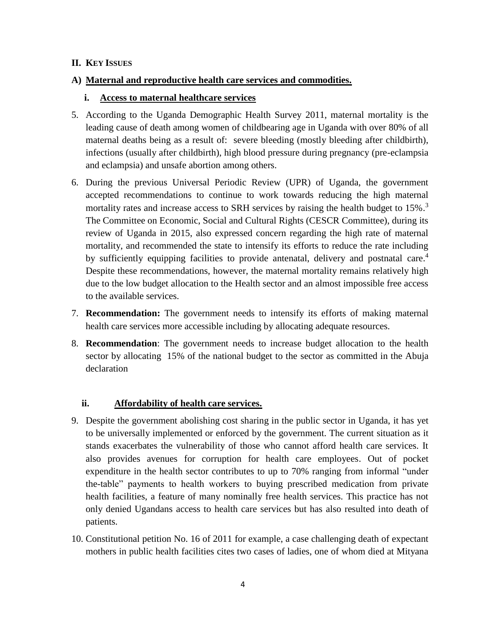## **II. KEY ISSUES**

## **A) Maternal and reproductive health care services and commodities.**

## **i. Access to maternal healthcare services**

- 5. According to the Uganda Demographic Health Survey 2011, maternal mortality is the leading cause of death among women of childbearing age in Uganda with over 80% of all maternal deaths being as a result of: severe bleeding (mostly bleeding after childbirth), infections (usually after childbirth), high blood pressure during pregnancy (pre-eclampsia and eclampsia) and unsafe abortion among others.
- 6. During the previous Universal Periodic Review (UPR) of Uganda, the government accepted recommendations to continue to work towards reducing the high maternal mortality rates and increase access to SRH services by raising the health budget to 15%.<sup>3</sup> The Committee on Economic, Social and Cultural Rights (CESCR Committee), during its review of Uganda in 2015, also expressed concern regarding the high rate of maternal mortality, and recommended the state to intensify its efforts to reduce the rate including by sufficiently equipping facilities to provide antenatal, delivery and postnatal care.<sup>4</sup> Despite these recommendations, however, the maternal mortality remains relatively high due to the low budget allocation to the Health sector and an almost impossible free access to the available services.
- 7. **Recommendation:** The government needs to intensify its efforts of making maternal health care services more accessible including by allocating adequate resources.
- 8. **Recommendation**: The government needs to increase budget allocation to the health sector by allocating 15% of the national budget to the sector as committed in the Abuja declaration

# **ii. Affordability of health care services.**

- 9. Despite the government abolishing cost sharing in the public sector in Uganda, it has yet to be universally implemented or enforced by the government. The current situation as it stands exacerbates the vulnerability of those who cannot afford health care services. It also provides avenues for corruption for health care employees. Out of pocket expenditure in the health sector contributes to up to 70% ranging from informal "under the-table" payments to health workers to buying prescribed medication from private health facilities, a feature of many nominally free health services. This practice has not only denied Ugandans access to health care services but has also resulted into death of patients.
- 10. Constitutional petition No. 16 of 2011 for example, a case challenging death of expectant mothers in public health facilities cites two cases of ladies, one of whom died at Mityana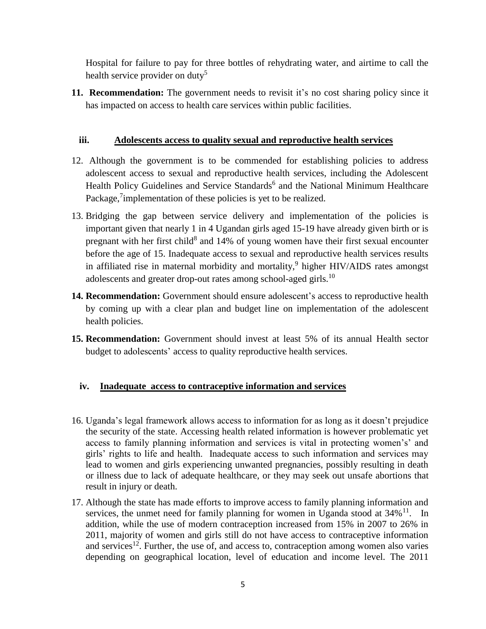Hospital for failure to pay for three bottles of rehydrating water, and airtime to call the health service provider on duty<sup>5</sup>

**11. Recommendation:** The government needs to revisit it's no cost sharing policy since it has impacted on access to health care services within public facilities.

## **iii. Adolescents access to quality sexual and reproductive health services**

- 12. Although the government is to be commended for establishing policies to address adolescent access to sexual and reproductive health services, including the Adolescent Health Policy Guidelines and Service Standards<sup>6</sup> and the National Minimum Healthcare Package,<sup>7</sup>implementation of these policies is yet to be realized.
- 13. Bridging the gap between service delivery and implementation of the policies is important given that nearly 1 in 4 Ugandan girls aged 15-19 have already given birth or is pregnant with her first child<sup>8</sup> and  $14\%$  of young women have their first sexual encounter before the age of 15. Inadequate access to sexual and reproductive health services results in affiliated rise in maternal morbidity and mortality,<sup>9</sup> higher HIV/AIDS rates amongst adolescents and greater drop-out rates among school-aged girls.<sup>10</sup>
- **14. Recommendation:** Government should ensure adolescent's access to reproductive health by coming up with a clear plan and budget line on implementation of the adolescent health policies.
- **15. Recommendation:** Government should invest at least 5% of its annual Health sector budget to adolescents' access to quality reproductive health services.

# **iv. Inadequate access to contraceptive information and services**

- 16. Uganda's legal framework allows access to information for as long as it doesn't prejudice the security of the state. Accessing health related information is however problematic yet access to family planning information and services is vital in protecting women's' and girls' rights to life and health. Inadequate access to such information and services may lead to women and girls experiencing unwanted pregnancies, possibly resulting in death or illness due to lack of adequate healthcare, or they may seek out unsafe abortions that result in injury or death.
- 17. Although the state has made efforts to improve access to family planning information and services, the unmet need for family planning for women in Uganda stood at  $34\%$ <sup>11</sup>. In addition, while the use of modern contraception increased from 15% in 2007 to 26% in 2011, majority of women and girls still do not have access to contraceptive information and services<sup>12</sup>. Further, the use of, and access to, contraception among women also varies depending on geographical location, level of education and income level. The 2011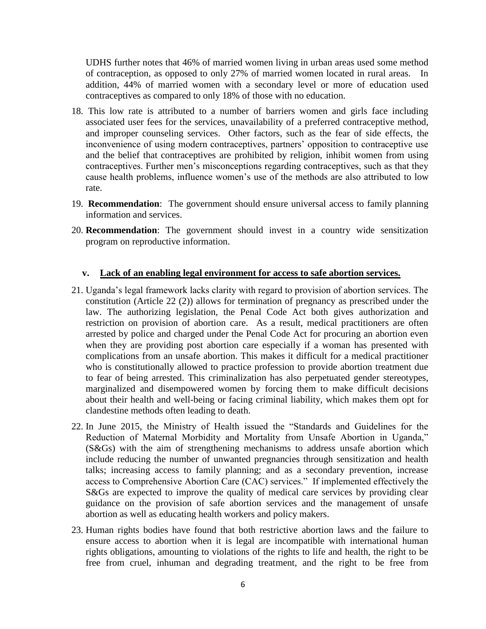UDHS further notes that 46% of married women living in urban areas used some method of contraception, as opposed to only 27% of married women located in rural areas. In addition, 44% of married women with a secondary level or more of education used contraceptives as compared to only 18% of those with no education.

- 18. This low rate is attributed to a number of barriers women and girls face including associated user fees for the services, unavailability of a preferred contraceptive method, and improper counseling services. Other factors, such as the fear of side effects, the inconvenience of using modern contraceptives, partners' opposition to contraceptive use and the belief that contraceptives are prohibited by religion, inhibit women from using contraceptives. Further men's misconceptions regarding contraceptives, such as that they cause health problems, influence women's use of the methods are also attributed to low rate.
- 19. **Recommendation**: The government should ensure universal access to family planning information and services.
- 20. **Recommendation**: The government should invest in a country wide sensitization program on reproductive information.

#### **v. Lack of an enabling legal environment for access to safe abortion services.**

- 21. Uganda's legal framework lacks clarity with regard to provision of abortion services. The constitution (Article 22 (2)) allows for termination of pregnancy as prescribed under the law. The authorizing legislation, the Penal Code Act both gives authorization and restriction on provision of abortion care. As a result, medical practitioners are often arrested by police and charged under the Penal Code Act for procuring an abortion even when they are providing post abortion care especially if a woman has presented with complications from an unsafe abortion. This makes it difficult for a medical practitioner who is constitutionally allowed to practice profession to provide abortion treatment due to fear of being arrested. This criminalization has also perpetuated gender stereotypes, marginalized and disempowered women by forcing them to make difficult decisions about their health and well-being or facing criminal liability, which makes them opt for clandestine methods often leading to death.
- 22. In June 2015, the Ministry of Health issued the "Standards and Guidelines for the Reduction of Maternal Morbidity and Mortality from Unsafe Abortion in Uganda," (S&Gs) with the aim of strengthening mechanisms to address unsafe abortion which include reducing the number of unwanted pregnancies through sensitization and health talks; increasing access to family planning; and as a secondary prevention, increase access to Comprehensive Abortion Care (CAC) services." If implemented effectively the S&Gs are expected to improve the quality of medical care services by providing clear guidance on the provision of safe abortion services and the management of unsafe abortion as well as educating health workers and policy makers.
- 23. Human rights bodies have found that both restrictive abortion laws and the failure to ensure access to abortion when it is legal are incompatible with international human rights obligations, amounting to violations of the rights to life and health, the right to be free from cruel, inhuman and degrading treatment, and the right to be free from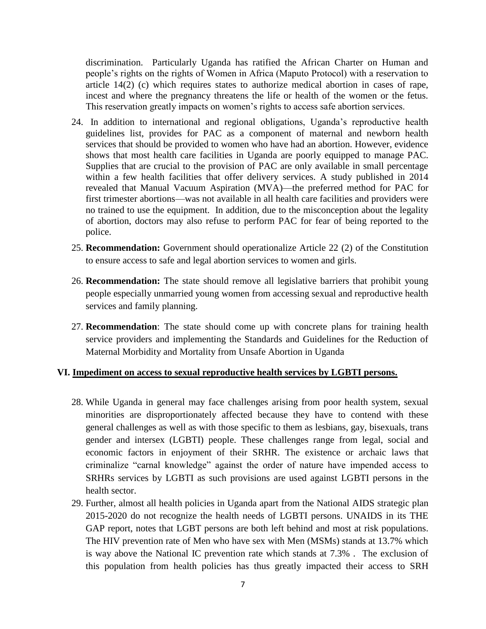discrimination. Particularly Uganda has ratified the African Charter on Human and people's rights on the rights of Women in Africa (Maputo Protocol) with a reservation to article 14(2) (c) which requires states to authorize medical abortion in cases of rape, incest and where the pregnancy threatens the life or health of the women or the fetus. This reservation greatly impacts on women's rights to access safe abortion services.

- 24. In addition to international and regional obligations, Uganda's reproductive health guidelines list, provides for PAC as a component of maternal and newborn health services that should be provided to women who have had an abortion. However, evidence shows that most health care facilities in Uganda are poorly equipped to manage PAC. Supplies that are crucial to the provision of PAC are only available in small percentage within a few health facilities that offer delivery services. A study published in 2014 revealed that Manual Vacuum Aspiration (MVA)—the preferred method for PAC for first trimester abortions—was not available in all health care facilities and providers were no trained to use the equipment. In addition, due to the misconception about the legality of abortion, doctors may also refuse to perform PAC for fear of being reported to the police.
- 25. **Recommendation:** Government should operationalize Article 22 (2) of the Constitution to ensure access to safe and legal abortion services to women and girls.
- 26. **Recommendation:** The state should remove all legislative barriers that prohibit young people especially unmarried young women from accessing sexual and reproductive health services and family planning.
- 27. **Recommendation**: The state should come up with concrete plans for training health service providers and implementing the Standards and Guidelines for the Reduction of Maternal Morbidity and Mortality from Unsafe Abortion in Uganda

### **VI. Impediment on access to sexual reproductive health services by LGBTI persons.**

- 28. While Uganda in general may face challenges arising from poor health system, sexual minorities are disproportionately affected because they have to contend with these general challenges as well as with those specific to them as lesbians, gay, bisexuals, trans gender and intersex (LGBTI) people. These challenges range from legal, social and economic factors in enjoyment of their SRHR. The existence or archaic laws that criminalize "carnal knowledge" against the order of nature have impended access to SRHRs services by LGBTI as such provisions are used against LGBTI persons in the health sector.
- 29. Further, almost all health policies in Uganda apart from the National AIDS strategic plan 2015-2020 do not recognize the health needs of LGBTI persons. UNAIDS in its THE GAP report, notes that LGBT persons are both left behind and most at risk populations. The HIV prevention rate of Men who have sex with Men (MSMs) stands at 13.7% which is way above the National IC prevention rate which stands at 7.3% . The exclusion of this population from health policies has thus greatly impacted their access to SRH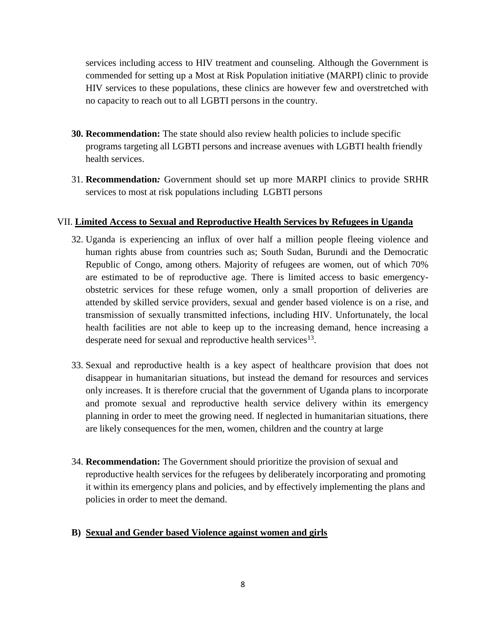services including access to HIV treatment and counseling. Although the Government is commended for setting up a Most at Risk Population initiative (MARPI) clinic to provide HIV services to these populations, these clinics are however few and overstretched with no capacity to reach out to all LGBTI persons in the country.

- **30. Recommendation:** The state should also review health policies to include specific programs targeting all LGBTI persons and increase avenues with LGBTI health friendly health services.
- 31. **Recommendation***:* Government should set up more MARPI clinics to provide SRHR services to most at risk populations including LGBTI persons

# VII. **Limited Access to Sexual and Reproductive Health Services by Refugees in Uganda**

- 32. Uganda is experiencing an influx of over half a million people fleeing violence and human rights abuse from countries such as; South Sudan, Burundi and the Democratic Republic of Congo, among others. Majority of refugees are women, out of which 70% are estimated to be of reproductive age. There is limited access to basic emergencyobstetric services for these refuge women, only a small proportion of deliveries are attended by skilled service providers, sexual and gender based violence is on a rise, and transmission of sexually transmitted infections, including HIV. Unfortunately, the local health facilities are not able to keep up to the increasing demand, hence increasing a desperate need for sexual and reproductive health services $^{13}$ .
- 33. Sexual and reproductive health is a key aspect of healthcare provision that does not disappear in humanitarian situations, but instead the demand for resources and services only increases. It is therefore crucial that the government of Uganda plans to incorporate and promote sexual and reproductive health service delivery within its emergency planning in order to meet the growing need. If neglected in humanitarian situations, there are likely consequences for the men, women, children and the country at large
- 34. **Recommendation:** The Government should prioritize the provision of sexual and reproductive health services for the refugees by deliberately incorporating and promoting it within its emergency plans and policies, and by effectively implementing the plans and policies in order to meet the demand.

# **B) Sexual and Gender based Violence against women and girls**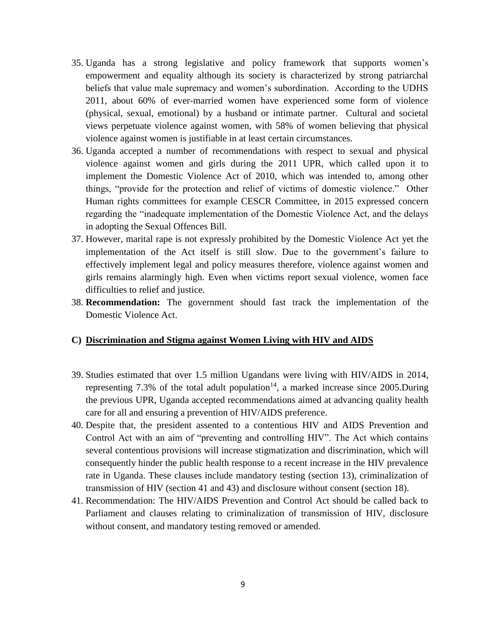- 35. Uganda has a strong legislative and policy framework that supports women's empowerment and equality although its society is characterized by strong patriarchal beliefs that value male supremacy and women's subordination. According to the UDHS 2011, about 60% of ever-married women have experienced some form of violence (physical, sexual, emotional) by a husband or intimate partner. Cultural and societal views perpetuate violence against women, with 58% of women believing that physical violence against women is justifiable in at least certain circumstances.
- 36. Uganda accepted a number of recommendations with respect to sexual and physical violence against women and girls during the 2011 UPR, which called upon it to implement the Domestic Violence Act of 2010, which was intended to, among other things, "provide for the protection and relief of victims of domestic violence." Other Human rights committees for example CESCR Committee, in 2015 expressed concern regarding the "inadequate implementation of the Domestic Violence Act, and the delays in adopting the Sexual Offences Bill.
- 37. However, marital rape is not expressly prohibited by the Domestic Violence Act yet the implementation of the Act itself is still slow. Due to the government's failure to effectively implement legal and policy measures therefore, violence against women and girls remains alarmingly high. Even when victims report sexual violence, women face difficulties to relief and justice.
- 38. **Recommendation:** The government should fast track the implementation of the Domestic Violence Act.

### **C) Discrimination and Stigma against Women Living with HIV and AIDS**

- 39. Studies estimated that over 1.5 million Ugandans were living with HIV/AIDS in 2014, representing 7.3% of the total adult population<sup>14</sup>, a marked increase since 2005.During the previous UPR, Uganda accepted recommendations aimed at advancing quality health care for all and ensuring a prevention of HIV/AIDS preference.
- 40. Despite that, the president assented to a contentious HIV and AIDS Prevention and Control Act with an aim of "preventing and controlling HIV". The Act which contains several contentious provisions will increase stigmatization and discrimination, which will consequently hinder the public health response to a recent increase in the HIV prevalence rate in Uganda. These clauses include mandatory testing (section 13), criminalization of transmission of HIV (section 41 and 43) and disclosure without consent (section 18).
- 41. Recommendation: The HIV/AIDS Prevention and Control Act should be called back to Parliament and clauses relating to criminalization of transmission of HIV, disclosure without consent, and mandatory testing removed or amended.